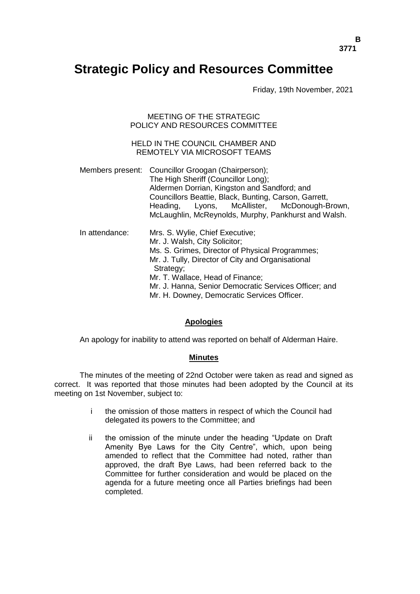# **Strategic Policy and Resources Committee**

Friday, 19th November, 2021

MEETING OF THE STRATEGIC POLICY AND RESOURCES COMMITTEE

# HELD IN THE COUNCIL CHAMBER AND REMOTELY VIA MICROSOFT TEAMS

Members present: Councillor Groogan (Chairperson); The High Sheriff (Councillor Long); Aldermen Dorrian, Kingston and Sandford; and Councillors Beattie, Black, Bunting, Carson, Garrett, Heading, Lyons, McAllister, McDonough-Brown, McLaughlin, McReynolds, Murphy, Pankhurst and Walsh. In attendance: Mrs. S. Wylie, Chief Executive; Mr. J. Walsh, City Solicitor; Ms. S. Grimes, Director of Physical Programmes; Mr. J. Tully, Director of City and Organisational Strategy: Mr. T. Wallace, Head of Finance; Mr. J. Hanna, Senior Democratic Services Officer; and Mr. H. Downey, Democratic Services Officer.

### **Apologies**

An apology for inability to attend was reported on behalf of Alderman Haire.

### **Minutes**

The minutes of the meeting of 22nd October were taken as read and signed as correct. It was reported that those minutes had been adopted by the Council at its meeting on 1st November, subject to:

- i the omission of those matters in respect of which the Council had delegated its powers to the Committee; and
- ii the omission of the minute under the heading "Update on Draft Amenity Bye Laws for the City Centre", which, upon being amended to reflect that the Committee had noted, rather than approved, the draft Bye Laws, had been referred back to the Committee for further consideration and would be placed on the agenda for a future meeting once all Parties briefings had been completed.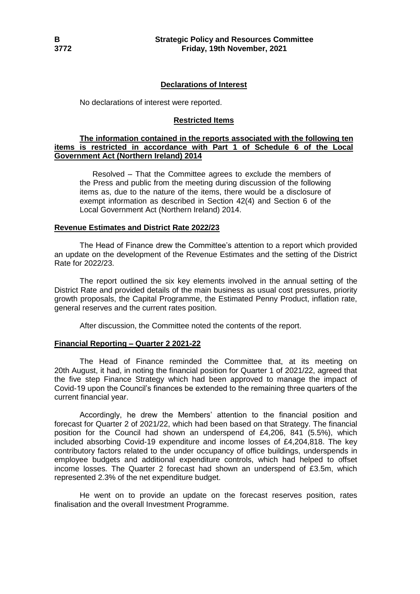# **Declarations of Interest**

No declarations of interest were reported.

### **Restricted Items**

### **The information contained in the reports associated with the following ten items is restricted in accordance with Part 1 of Schedule 6 of the Local Government Act (Northern Ireland) 2014**

Resolved – That the Committee agrees to exclude the members of the Press and public from the meeting during discussion of the following items as, due to the nature of the items, there would be a disclosure of exempt information as described in Section 42(4) and Section 6 of the Local Government Act (Northern Ireland) 2014.

### **Revenue Estimates and District Rate 2022/23**

The Head of Finance drew the Committee's attention to a report which provided an update on the development of the Revenue Estimates and the setting of the District Rate for 2022/23.

The report outlined the six key elements involved in the annual setting of the District Rate and provided details of the main business as usual cost pressures, priority growth proposals, the Capital Programme, the Estimated Penny Product, inflation rate, general reserves and the current rates position.

After discussion, the Committee noted the contents of the report.

### **Financial Reporting – Quarter 2 2021-22**

The Head of Finance reminded the Committee that, at its meeting on 20th August, it had, in noting the financial position for Quarter 1 of 2021/22, agreed that the five step Finance Strategy which had been approved to manage the impact of Covid-19 upon the Council's finances be extended to the remaining three quarters of the current financial year.

Accordingly, he drew the Members' attention to the financial position and forecast for Quarter 2 of 2021/22, which had been based on that Strategy. The financial position for the Council had shown an underspend of £4,206, 841 (5.5%), which included absorbing Covid-19 expenditure and income losses of £4,204,818. The key contributory factors related to the under occupancy of office buildings, underspends in employee budgets and additional expenditure controls, which had helped to offset income losses. The Quarter 2 forecast had shown an underspend of £3.5m, which represented 2.3% of the net expenditure budget.

He went on to provide an update on the forecast reserves position, rates finalisation and the overall Investment Programme.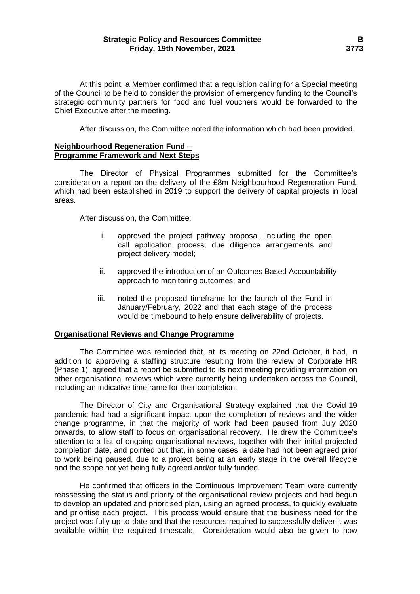### **Strategic Policy and Resources Committee B Friday, 19th November, 2021 3773**

At this point, a Member confirmed that a requisition calling for a Special meeting of the Council to be held to consider the provision of emergency funding to the Council's strategic community partners for food and fuel vouchers would be forwarded to the Chief Executive after the meeting.

After discussion, the Committee noted the information which had been provided.

### **Neighbourhood Regeneration Fund – Programme Framework and Next Steps**

The Director of Physical Programmes submitted for the Committee's consideration a report on the delivery of the £8m Neighbourhood Regeneration Fund, which had been established in 2019 to support the delivery of capital projects in local areas.

After discussion, the Committee:

- i. approved the project pathway proposal, including the open call application process, due diligence arrangements and project delivery model;
- ii. approved the introduction of an Outcomes Based Accountability approach to monitoring outcomes; and
- iii. noted the proposed timeframe for the launch of the Fund in January/February, 2022 and that each stage of the process would be timebound to help ensure deliverability of projects.

### **Organisational Reviews and Change Programme**

The Committee was reminded that, at its meeting on 22nd October, it had, in addition to approving a staffing structure resulting from the review of Corporate HR (Phase 1), agreed that a report be submitted to its next meeting providing information on other organisational reviews which were currently being undertaken across the Council, including an indicative timeframe for their completion.

The Director of City and Organisational Strategy explained that the Covid-19 pandemic had had a significant impact upon the completion of reviews and the wider change programme, in that the majority of work had been paused from July 2020 onwards, to allow staff to focus on organisational recovery. He drew the Committee's attention to a list of ongoing organisational reviews, together with their initial projected completion date, and pointed out that, in some cases, a date had not been agreed prior to work being paused, due to a project being at an early stage in the overall lifecycle and the scope not yet being fully agreed and/or fully funded.

He confirmed that officers in the Continuous Improvement Team were currently reassessing the status and priority of the organisational review projects and had begun to develop an updated and prioritised plan, using an agreed process, to quickly evaluate and prioritise each project. This process would ensure that the business need for the project was fully up-to-date and that the resources required to successfully deliver it was available within the required timescale. Consideration would also be given to how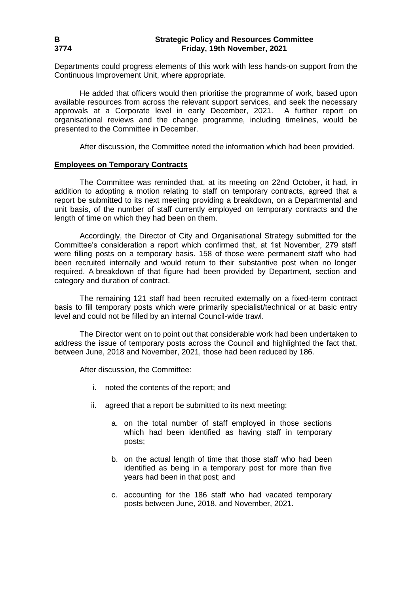Departments could progress elements of this work with less hands-on support from the Continuous Improvement Unit, where appropriate.

He added that officers would then prioritise the programme of work, based upon available resources from across the relevant support services, and seek the necessary approvals at a Corporate level in early December, 2021. A further report on organisational reviews and the change programme, including timelines, would be presented to the Committee in December.

After discussion, the Committee noted the information which had been provided.

#### **Employees on Temporary Contracts**

The Committee was reminded that, at its meeting on 22nd October, it had, in addition to adopting a motion relating to staff on temporary contracts, agreed that a report be submitted to its next meeting providing a breakdown, on a Departmental and unit basis, of the number of staff currently employed on temporary contracts and the length of time on which they had been on them.

Accordingly, the Director of City and Organisational Strategy submitted for the Committee's consideration a report which confirmed that, at 1st November, 279 staff were filling posts on a temporary basis. 158 of those were permanent staff who had been recruited internally and would return to their substantive post when no longer required. A breakdown of that figure had been provided by Department, section and category and duration of contract.

The remaining 121 staff had been recruited externally on a fixed-term contract basis to fill temporary posts which were primarily specialist/technical or at basic entry level and could not be filled by an internal Council-wide trawl.

The Director went on to point out that considerable work had been undertaken to address the issue of temporary posts across the Council and highlighted the fact that, between June, 2018 and November, 2021, those had been reduced by 186.

After discussion, the Committee:

- i. noted the contents of the report; and
- ii. agreed that a report be submitted to its next meeting:
	- a. on the total number of staff employed in those sections which had been identified as having staff in temporary posts;
	- b. on the actual length of time that those staff who had been identified as being in a temporary post for more than five years had been in that post; and
	- c. accounting for the 186 staff who had vacated temporary posts between June, 2018, and November, 2021.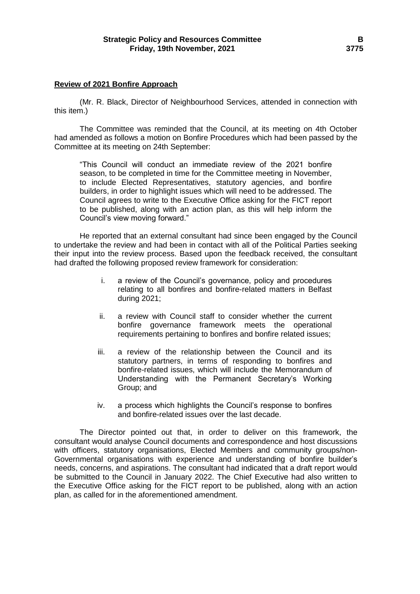#### **Review of 2021 Bonfire Approach**

(Mr. R. Black, Director of Neighbourhood Services, attended in connection with this item.)

The Committee was reminded that the Council, at its meeting on 4th October had amended as follows a motion on Bonfire Procedures which had been passed by the Committee at its meeting on 24th September:

"This Council will conduct an immediate review of the 2021 bonfire season, to be completed in time for the Committee meeting in November, to include Elected Representatives, statutory agencies, and bonfire builders, in order to highlight issues which will need to be addressed. The Council agrees to write to the Executive Office asking for the FICT report to be published, along with an action plan, as this will help inform the Council's view moving forward."

He reported that an external consultant had since been engaged by the Council to undertake the review and had been in contact with all of the Political Parties seeking their input into the review process. Based upon the feedback received, the consultant had drafted the following proposed review framework for consideration:

- i. a review of the Council's governance, policy and procedures relating to all bonfires and bonfire-related matters in Belfast during 2021;
- ii. a review with Council staff to consider whether the current bonfire governance framework meets the operational requirements pertaining to bonfires and bonfire related issues;
- iii. a review of the relationship between the Council and its statutory partners, in terms of responding to bonfires and bonfire-related issues, which will include the Memorandum of Understanding with the Permanent Secretary's Working Group; and
- iv. a process which highlights the Council's response to bonfires and bonfire-related issues over the last decade.

The Director pointed out that, in order to deliver on this framework, the consultant would analyse Council documents and correspondence and host discussions with officers, statutory organisations, Elected Members and community groups/non-Governmental organisations with experience and understanding of bonfire builder's needs, concerns, and aspirations. The consultant had indicated that a draft report would be submitted to the Council in January 2022. The Chief Executive had also written to the Executive Office asking for the FICT report to be published, along with an action plan, as called for in the aforementioned amendment.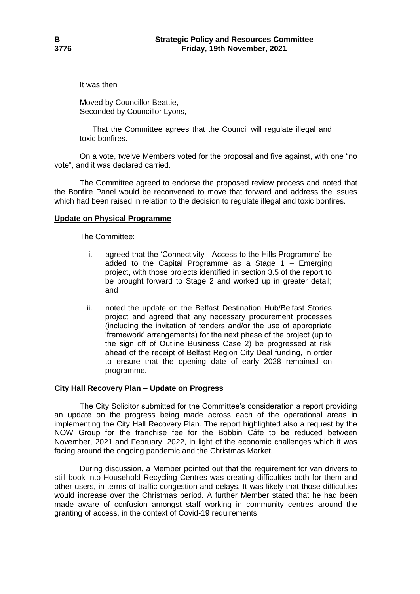It was then

Moved by Councillor Beattie, Seconded by Councillor Lyons,

That the Committee agrees that the Council will regulate illegal and toxic bonfires.

On a vote, twelve Members voted for the proposal and five against, with one "no vote", and it was declared carried.

The Committee agreed to endorse the proposed review process and noted that the Bonfire Panel would be reconvened to move that forward and address the issues which had been raised in relation to the decision to regulate illegal and toxic bonfires.

# **Update on Physical Programme**

The Committee:

- i. agreed that the 'Connectivity Access to the Hills Programme' be added to the Capital Programme as a Stage 1 – Emerging project, with those projects identified in section 3.5 of the report to be brought forward to Stage 2 and worked up in greater detail; and
- ii. noted the update on the Belfast Destination Hub/Belfast Stories project and agreed that any necessary procurement processes (including the invitation of tenders and/or the use of appropriate 'framework' arrangements) for the next phase of the project (up to the sign off of Outline Business Case 2) be progressed at risk ahead of the receipt of Belfast Region City Deal funding, in order to ensure that the opening date of early 2028 remained on programme.

### **City Hall Recovery Plan – Update on Progress**

The City Solicitor submitted for the Committee's consideration a report providing an update on the progress being made across each of the operational areas in implementing the City Hall Recovery Plan. The report highlighted also a request by the NOW Group for the franchise fee for the Bobbin Cáfe to be reduced between November, 2021 and February, 2022, in light of the economic challenges which it was facing around the ongoing pandemic and the Christmas Market.

During discussion, a Member pointed out that the requirement for van drivers to still book into Household Recycling Centres was creating difficulties both for them and other users, in terms of traffic congestion and delays. It was likely that those difficulties would increase over the Christmas period. A further Member stated that he had been made aware of confusion amongst staff working in community centres around the granting of access, in the context of Covid-19 requirements.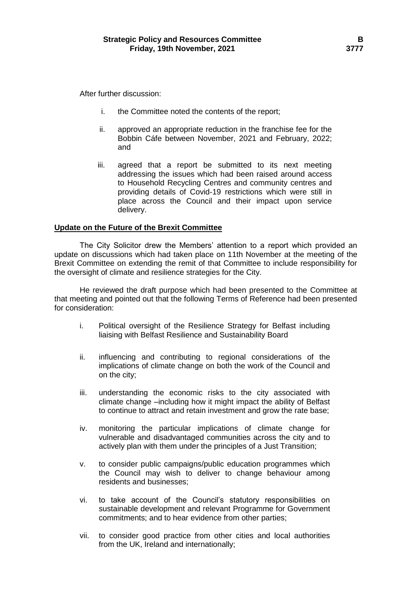After further discussion:

- i. the Committee noted the contents of the report;
- ii. approved an appropriate reduction in the franchise fee for the Bobbin Cáfe between November, 2021 and February, 2022; and
- iii. agreed that a report be submitted to its next meeting addressing the issues which had been raised around access to Household Recycling Centres and community centres and providing details of Covid-19 restrictions which were still in place across the Council and their impact upon service delivery.

# **Update on the Future of the Brexit Committee**

The City Solicitor drew the Members' attention to a report which provided an update on discussions which had taken place on 11th November at the meeting of the Brexit Committee on extending the remit of that Committee to include responsibility for the oversight of climate and resilience strategies for the City.

He reviewed the draft purpose which had been presented to the Committee at that meeting and pointed out that the following Terms of Reference had been presented for consideration:

- i. Political oversight of the Resilience Strategy for Belfast including liaising with Belfast Resilience and Sustainability Board
- ii. influencing and contributing to regional considerations of the implications of climate change on both the work of the Council and on the city;
- iii. understanding the economic risks to the city associated with climate change –including how it might impact the ability of Belfast to continue to attract and retain investment and grow the rate base;
- iv. monitoring the particular implications of climate change for vulnerable and disadvantaged communities across the city and to actively plan with them under the principles of a Just Transition;
- v. to consider public campaigns/public education programmes which the Council may wish to deliver to change behaviour among residents and businesses;
- vi. to take account of the Council's statutory responsibilities on sustainable development and relevant Programme for Government commitments; and to hear evidence from other parties;
- vii. to consider good practice from other cities and local authorities from the UK, Ireland and internationally;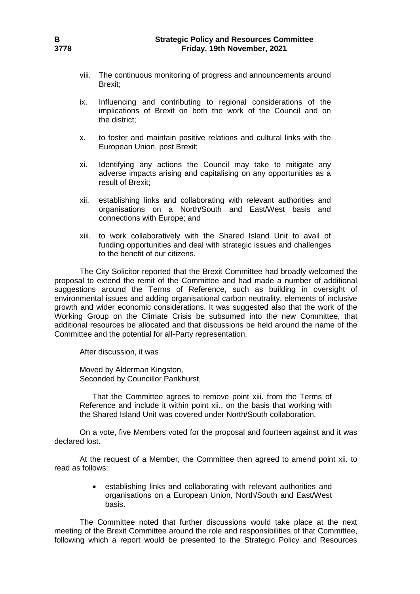- viii. The continuous monitoring of progress and announcements around Brexit;
- ix. Influencing and contributing to regional considerations of the implications of Brexit on both the work of the Council and on the district;
- x. to foster and maintain positive relations and cultural links with the European Union, post Brexit;
- xi. Identifying any actions the Council may take to mitigate any adverse impacts arising and capitalising on any opportunities as a result of Brexit;
- xii. establishing links and collaborating with relevant authorities and organisations on a North/South and East/West basis and connections with Europe; and
- xiii. to work collaboratively with the Shared Island Unit to avail of funding opportunities and deal with strategic issues and challenges to the benefit of our citizens.

The City Solicitor reported that the Brexit Committee had broadly welcomed the proposal to extend the remit of the Committee and had made a number of additional suggestions around the Terms of Reference, such as building in oversight of environmental issues and adding organisational carbon neutrality, elements of inclusive growth and wider economic considerations. It was suggested also that the work of the Working Group on the Climate Crisis be subsumed into the new Committee, that additional resources be allocated and that discussions be held around the name of the Committee and the potential for all-Party representation.

After discussion, it was

Moved by Alderman Kingston, Seconded by Councillor Pankhurst,

That the Committee agrees to remove point xiii. from the Terms of Reference and include it within point xii., on the basis that working with the Shared Island Unit was covered under North/South collaboration.

On a vote, five Members voted for the proposal and fourteen against and it was declared lost.

At the request of a Member, the Committee then agreed to amend point xii. to read as follows:

> establishing links and collaborating with relevant authorities and organisations on a European Union, North/South and East/West basis.

The Committee noted that further discussions would take place at the next meeting of the Brexit Committee around the role and responsibilities of that Committee, following which a report would be presented to the Strategic Policy and Resources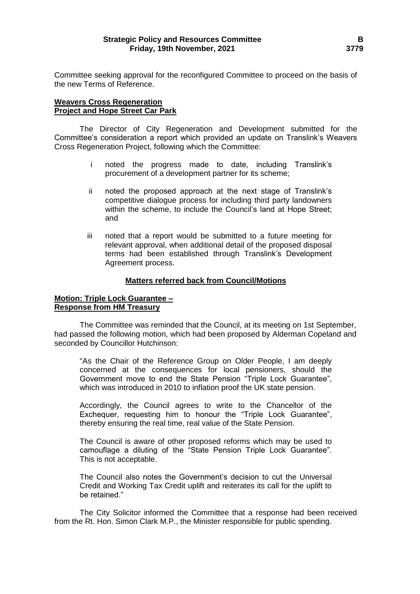Committee seeking approval for the reconfigured Committee to proceed on the basis of the new Terms of Reference.

### **Weavers Cross Regeneration Project and Hope Street Car Park**

The Director of City Regeneration and Development submitted for the Committee's consideration a report which provided an update on Translink's Weavers Cross Regeneration Project, following which the Committee:

- i noted the progress made to date, including Translink's procurement of a development partner for its scheme;
- ii noted the proposed approach at the next stage of Translink's competitive dialogue process for including third party landowners within the scheme, to include the Council's land at Hope Street; and
- iii noted that a report would be submitted to a future meeting for relevant approval, when additional detail of the proposed disposal terms had been established through Translink's Development Agreement process.

# **Matters referred back from Council/Motions**

# **Motion: Triple Lock Guarantee – Response from HM Treasury**

The Committee was reminded that the Council, at its meeting on 1st September, had passed the following motion, which had been proposed by Alderman Copeland and seconded by Councillor Hutchinson:

"As the Chair of the Reference Group on Older People, I am deeply concerned at the consequences for local pensioners, should the Government move to end the State Pension "Triple Lock Guarantee", which was introduced in 2010 to inflation proof the UK state pension.

Accordingly, the Council agrees to write to the Chancellor of the Exchequer, requesting him to honour the "Triple Lock Guarantee", thereby ensuring the real time, real value of the State Pension.

The Council is aware of other proposed reforms which may be used to camouflage a diluting of the "State Pension Triple Lock Guarantee". This is not acceptable.

The Council also notes the Government's decision to cut the Universal Credit and Working Tax Credit uplift and reiterates its call for the uplift to be retained."

The City Solicitor informed the Committee that a response had been received from the Rt. Hon. Simon Clark M.P., the Minister responsible for public spending.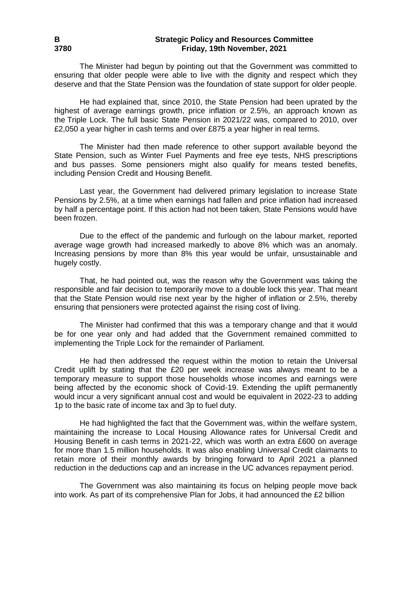### **B Strategic Policy and Resources Committee 3780 Friday, 19th November, 2021**

The Minister had begun by pointing out that the Government was committed to ensuring that older people were able to live with the dignity and respect which they deserve and that the State Pension was the foundation of state support for older people.

He had explained that, since 2010, the State Pension had been uprated by the highest of average earnings growth, price inflation or 2.5%, an approach known as the Triple Lock. The full basic State Pension in 2021/22 was, compared to 2010, over £2,050 a year higher in cash terms and over £875 a year higher in real terms.

The Minister had then made reference to other support available beyond the State Pension, such as Winter Fuel Payments and free eye tests, NHS prescriptions and bus passes. Some pensioners might also qualify for means tested benefits, including Pension Credit and Housing Benefit.

Last year, the Government had delivered primary legislation to increase State Pensions by 2.5%, at a time when earnings had fallen and price inflation had increased by half a percentage point. If this action had not been taken, State Pensions would have been frozen.

Due to the effect of the pandemic and furlough on the labour market, reported average wage growth had increased markedly to above 8% which was an anomaly. Increasing pensions by more than 8% this year would be unfair, unsustainable and hugely costly.

That, he had pointed out, was the reason why the Government was taking the responsible and fair decision to temporarily move to a double lock this year. That meant that the State Pension would rise next year by the higher of inflation or 2.5%, thereby ensuring that pensioners were protected against the rising cost of living.

The Minister had confirmed that this was a temporary change and that it would be for one year only and had added that the Government remained committed to implementing the Triple Lock for the remainder of Parliament.

He had then addressed the request within the motion to retain the Universal Credit uplift by stating that the £20 per week increase was always meant to be a temporary measure to support those households whose incomes and earnings were being affected by the economic shock of Covid-19. Extending the uplift permanently would incur a very significant annual cost and would be equivalent in 2022-23 to adding 1p to the basic rate of income tax and 3p to fuel duty.

He had highlighted the fact that the Government was, within the welfare system, maintaining the increase to Local Housing Allowance rates for Universal Credit and Housing Benefit in cash terms in 2021-22, which was worth an extra £600 on average for more than 1.5 million households. It was also enabling Universal Credit claimants to retain more of their monthly awards by bringing forward to April 2021 a planned reduction in the deductions cap and an increase in the UC advances repayment period.

The Government was also maintaining its focus on helping people move back into work. As part of its comprehensive Plan for Jobs, it had announced the  $£2$  billion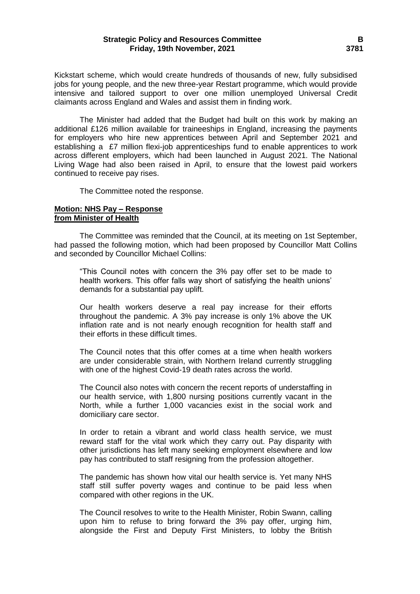### **Strategic Policy and Resources Committee B Friday, 19th November, 2021 3781**

Kickstart scheme, which would create hundreds of thousands of new, fully subsidised jobs for young people, and the new three-year Restart programme, which would provide intensive and tailored support to over one million unemployed Universal Credit claimants across England and Wales and assist them in finding work.

The Minister had added that the Budget had built on this work by making an additional £126 million available for traineeships in England, increasing the payments for employers who hire new apprentices between April and September 2021 and establishing a £7 million flexi-job apprenticeships fund to enable apprentices to work across different employers, which had been launched in August 2021. The National Living Wage had also been raised in April, to ensure that the lowest paid workers continued to receive pay rises.

The Committee noted the response.

#### **Motion: NHS Pay – Response from Minister of Health**

The Committee was reminded that the Council, at its meeting on 1st September, had passed the following motion, which had been proposed by Councillor Matt Collins and seconded by Councillor Michael Collins:

"This Council notes with concern the 3% pay offer set to be made to health workers. This offer falls way short of satisfying the health unions' demands for a substantial pay uplift.

Our health workers deserve a real pay increase for their efforts throughout the pandemic. A 3% pay increase is only 1% above the UK inflation rate and is not nearly enough recognition for health staff and their efforts in these difficult times.

The Council notes that this offer comes at a time when health workers are under considerable strain, with Northern Ireland currently struggling with one of the highest Covid-19 death rates across the world.

The Council also notes with concern the recent reports of understaffing in our health service, with 1,800 nursing positions currently vacant in the North, while a further 1,000 vacancies exist in the social work and domiciliary care sector.

In order to retain a vibrant and world class health service, we must reward staff for the vital work which they carry out. Pay disparity with other jurisdictions has left many seeking employment elsewhere and low pay has contributed to staff resigning from the profession altogether.

The pandemic has shown how vital our health service is. Yet many NHS staff still suffer poverty wages and continue to be paid less when compared with other regions in the UK.

The Council resolves to write to the Health Minister, Robin Swann, calling upon him to refuse to bring forward the 3% pay offer, urging him, alongside the First and Deputy First Ministers, to lobby the British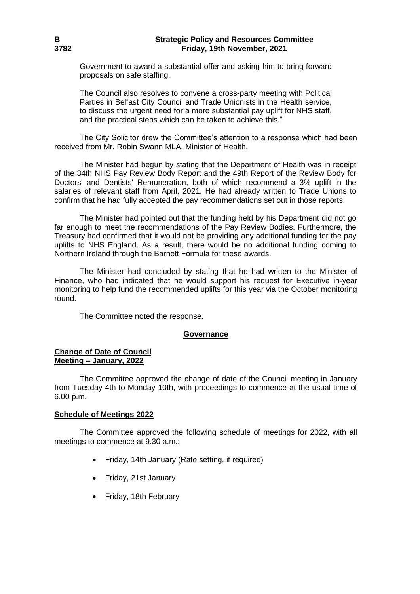# **B Strategic Policy and Resources Committee 3782 Friday, 19th November, 2021**

Government to award a substantial offer and asking him to bring forward proposals on safe staffing.

The Council also resolves to convene a cross-party meeting with Political Parties in Belfast City Council and Trade Unionists in the Health service, to discuss the urgent need for a more substantial pay uplift for NHS staff, and the practical steps which can be taken to achieve this."

The City Solicitor drew the Committee's attention to a response which had been received from Mr. Robin Swann MLA, Minister of Health.

The Minister had begun by stating that the Department of Health was in receipt of the 34th NHS Pay Review Body Report and the 49th Report of the Review Body for Doctors' and Dentists' Remuneration, both of which recommend a 3% uplift in the salaries of relevant staff from April, 2021. He had already written to Trade Unions to confirm that he had fully accepted the pay recommendations set out in those reports.

The Minister had pointed out that the funding held by his Department did not go far enough to meet the recommendations of the Pay Review Bodies. Furthermore, the Treasury had confirmed that it would not be providing any additional funding for the pay uplifts to NHS England. As a result, there would be no additional funding coming to Northern Ireland through the Barnett Formula for these awards.

The Minister had concluded by stating that he had written to the Minister of Finance, who had indicated that he would support his request for Executive in-year monitoring to help fund the recommended uplifts for this year via the October monitoring round.

The Committee noted the response.

### **Governance**

# **Change of Date of Council Meeting – January, 2022**

The Committee approved the change of date of the Council meeting in January from Tuesday 4th to Monday 10th, with proceedings to commence at the usual time of 6.00 p.m.

### **Schedule of Meetings 2022**

The Committee approved the following schedule of meetings for 2022, with all meetings to commence at 9.30 a.m.:

- Friday, 14th January (Rate setting, if required)
- Friday, 21st January
- Friday, 18th February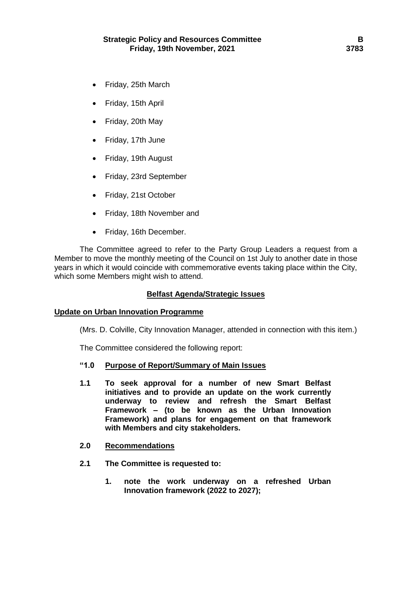- Friday, 25th March
- Friday, 15th April
- Friday, 20th May
- Friday, 17th June
- Friday, 19th August
- Friday, 23rd September
- Friday, 21st October
- Friday, 18th November and
- Friday, 16th December.

The Committee agreed to refer to the Party Group Leaders a request from a Member to move the monthly meeting of the Council on 1st July to another date in those years in which it would coincide with commemorative events taking place within the City, which some Members might wish to attend.

### **Belfast Agenda/Strategic Issues**

# **Update on Urban Innovation Programme**

(Mrs. D. Colville, City Innovation Manager, attended in connection with this item.)

The Committee considered the following report:

# **"1.0 Purpose of Report/Summary of Main Issues**

**1.1 To seek approval for a number of new Smart Belfast initiatives and to provide an update on the work currently underway to review and refresh the Smart Belfast Framework – (to be known as the Urban Innovation Framework) and plans for engagement on that framework with Members and city stakeholders.** 

### **2.0 Recommendations**

- **2.1 The Committee is requested to:**
	- **1. note the work underway on a refreshed Urban Innovation framework (2022 to 2027);**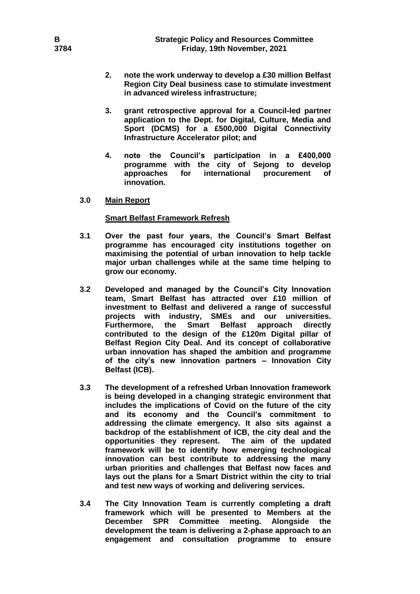- **2. note the work underway to develop a £30 million Belfast Region City Deal business case to stimulate investment in advanced wireless infrastructure;**
- **3. grant retrospective approval for a Council-led partner application to the Dept. for Digital, Culture, Media and Sport (DCMS) for a £500,000 Digital Connectivity Infrastructure Accelerator pilot; and**
- **4. note the Council's participation in a £400,000 programme with the city of Sejong to develop approaches for international procurement of innovation.**
- **3.0 Main Report**

# **Smart Belfast Framework Refresh**

- **3.1 Over the past four years, the Council's Smart Belfast programme has encouraged city institutions together on maximising the potential of urban innovation to help tackle major urban challenges while at the same time helping to grow our economy.**
- **3.2 Developed and managed by the Council's City Innovation team, Smart Belfast has attracted over £10 million of investment to Belfast and delivered a range of successful projects with industry, SMEs and our universities. Furthermore, the Smart Belfast approach directly contributed to the design of the £120m Digital pillar of Belfast Region City Deal. And its concept of collaborative urban innovation has shaped the ambition and programme of the city's new innovation partners – Innovation City Belfast (ICB).**
- **3.3 The development of a refreshed Urban Innovation framework is being developed in a changing strategic environment that includes the implications of Covid on the future of the city and its economy and the Council's commitment to addressing the climate emergency. It also sits against a backdrop of the establishment of ICB, the city deal and the opportunities they represent. The aim of the updated framework will be to identify how emerging technological innovation can best contribute to addressing the many urban priorities and challenges that Belfast now faces and lays out the plans for a Smart District within the city to trial and test new ways of working and delivering services.**
- **3.4 The City Innovation Team is currently completing a draft framework which will be presented to Members at the December SPR Committee meeting. Alongside the development the team is delivering a 2-phase approach to an engagement and consultation programme to ensure**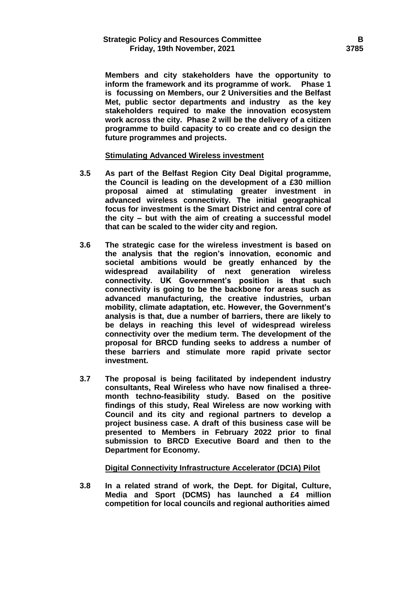**Members and city stakeholders have the opportunity to inform the framework and its programme of work. Phase 1 is focussing on Members, our 2 Universities and the Belfast Met, public sector departments and industry as the key stakeholders required to make the innovation ecosystem work across the city. Phase 2 will be the delivery of a citizen programme to build capacity to co create and co design the future programmes and projects.**

### **Stimulating Advanced Wireless investment**

- **3.5 As part of the Belfast Region City Deal Digital programme, the Council is leading on the development of a £30 million proposal aimed at stimulating greater investment in advanced wireless connectivity. The initial geographical focus for investment is the Smart District and central core of the city – but with the aim of creating a successful model that can be scaled to the wider city and region.**
- **3.6 The strategic case for the wireless investment is based on the analysis that the region's innovation, economic and societal ambitions would be greatly enhanced by the widespread availability of next generation wireless connectivity. UK Government's position is that such connectivity is going to be the backbone for areas such as advanced manufacturing, the creative industries, urban mobility, climate adaptation, etc. However, the Government's analysis is that, due a number of barriers, there are likely to be delays in reaching this level of widespread wireless connectivity over the medium term. The development of the proposal for BRCD funding seeks to address a number of these barriers and stimulate more rapid private sector investment.**
- **3.7 The proposal is being facilitated by independent industry consultants, Real Wireless who have now finalised a threemonth techno-feasibility study. Based on the positive findings of this study, Real Wireless are now working with Council and its city and regional partners to develop a project business case. A draft of this business case will be presented to Members in February 2022 prior to final submission to BRCD Executive Board and then to the Department for Economy.**

### **Digital Connectivity Infrastructure Accelerator (DCIA) Pilot**

**3.8 In a related strand of work, the Dept. for Digital, Culture, Media and Sport (DCMS) has launched a £4 million competition for local councils and regional authorities aimed**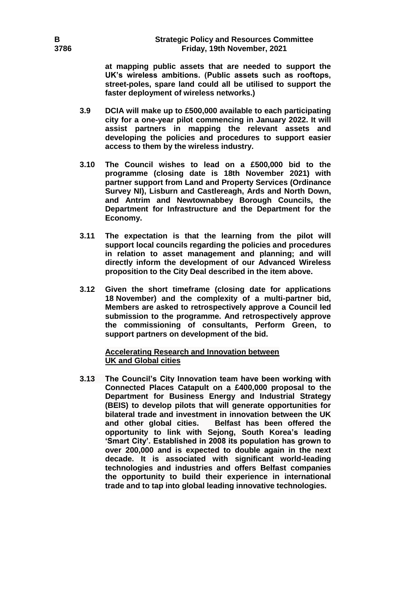**at mapping public assets that are needed to support the UK's wireless ambitions. (Public assets such as rooftops, street-poles, spare land could all be utilised to support the faster deployment of wireless networks.)**

- **3.9 DCIA will make up to £500,000 available to each participating city for a one-year pilot commencing in January 2022. It will assist partners in mapping the relevant assets and developing the policies and procedures to support easier access to them by the wireless industry.**
- **3.10 The Council wishes to lead on a £500,000 bid to the programme (closing date is 18th November 2021) with partner support from Land and Property Services (Ordinance Survey NI), Lisburn and Castlereagh, Ards and North Down, and Antrim and Newtownabbey Borough Councils, the Department for Infrastructure and the Department for the Economy.**
- **3.11 The expectation is that the learning from the pilot will support local councils regarding the policies and procedures in relation to asset management and planning; and will directly inform the development of our Advanced Wireless proposition to the City Deal described in the item above.**
- **3.12 Given the short timeframe (closing date for applications 18 November) and the complexity of a multi-partner bid, Members are asked to retrospectively approve a Council led submission to the programme. And retrospectively approve the commissioning of consultants, Perform Green, to support partners on development of the bid.**

**Accelerating Research and Innovation between UK and Global cities**

**3.13 The Council's City Innovation team have been working with Connected Places Catapult on a £400,000 proposal to the Department for Business Energy and Industrial Strategy (BEIS) to develop pilots that will generate opportunities for bilateral trade and investment in innovation between the UK and other global cities. Belfast has been offered the opportunity to link with Sejong, South Korea's leading 'Smart City'. Established in 2008 its population has grown to over 200,000 and is expected to double again in the next decade. It is associated with significant world-leading technologies and industries and offers Belfast companies the opportunity to build their experience in international trade and to tap into global leading innovative technologies.**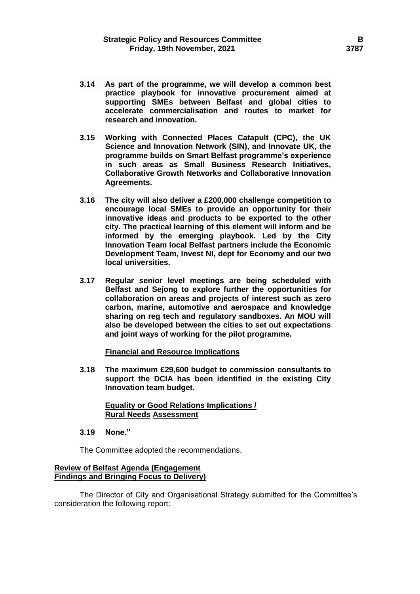- **3.14 As part of the programme, we will develop a common best practice playbook for innovative procurement aimed at supporting SMEs between Belfast and global cities to accelerate commercialisation and routes to market for research and innovation.**
- **3.15 Working with Connected Places Catapult (CPC), the UK Science and Innovation Network (SIN), and Innovate UK, the programme builds on Smart Belfast programme's experience in such areas as Small Business Research Initiatives, Collaborative Growth Networks and Collaborative Innovation Agreements.**
- **3.16 The city will also deliver a £200,000 challenge competition to encourage local SMEs to provide an opportunity for their innovative ideas and products to be exported to the other city. The practical learning of this element will inform and be informed by the emerging playbook. Led by the City Innovation Team local Belfast partners include the Economic Development Team, Invest NI, dept for Economy and our two local universities.**
- **3.17 Regular senior level meetings are being scheduled with Belfast and Sejong to explore further the opportunities for collaboration on areas and projects of interest such as zero carbon, marine, automotive and aerospace and knowledge sharing on reg tech and regulatory sandboxes. An MOU will also be developed between the cities to set out expectations and joint ways of working for the pilot programme.**

### **Financial and Resource Implications**

**3.18 The maximum £29,600 budget to commission consultants to support the DCIA has been identified in the existing City Innovation team budget.** 

### **Equality or Good Relations Implications / Rural Needs Assessment**

**3.19 None."**

The Committee adopted the recommendations.

### **Review of Belfast Agenda (Engagement Findings and Bringing Focus to Delivery)**

The Director of City and Organisational Strategy submitted for the Committee's consideration the following report: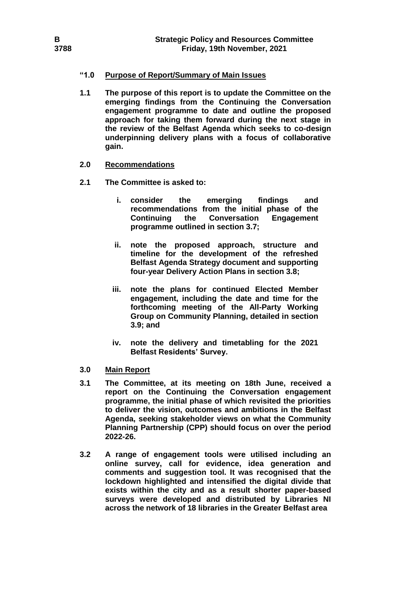# **"1.0 Purpose of Report/Summary of Main Issues**

**1.1 The purpose of this report is to update the Committee on the emerging findings from the Continuing the Conversation engagement programme to date and outline the proposed approach for taking them forward during the next stage in the review of the Belfast Agenda which seeks to co-design underpinning delivery plans with a focus of collaborative gain.**

# **2.0 Recommendations**

- **2.1 The Committee is asked to:**
	- **i. consider the emerging findings and recommendations from the initial phase of the Continuing the Conversation Engagement programme outlined in section 3.7;**
	- **ii. note the proposed approach, structure and timeline for the development of the refreshed Belfast Agenda Strategy document and supporting four-year Delivery Action Plans in section 3.8;**
	- **iii. note the plans for continued Elected Member engagement, including the date and time for the forthcoming meeting of the All-Party Working Group on Community Planning, detailed in section 3.9; and**
	- **iv. note the delivery and timetabling for the 2021 Belfast Residents' Survey.**

# **3.0 Main Report**

- **3.1 The Committee, at its meeting on 18th June, received a report on the Continuing the Conversation engagement programme, the initial phase of which revisited the priorities to deliver the vision, outcomes and ambitions in the Belfast Agenda, seeking stakeholder views on what the Community Planning Partnership (CPP) should focus on over the period 2022-26.**
- **3.2 A range of engagement tools were utilised including an online survey, call for evidence, idea generation and comments and suggestion tool. It was recognised that the lockdown highlighted and intensified the digital divide that exists within the city and as a result shorter paper-based surveys were developed and distributed by Libraries NI across the network of 18 libraries in the Greater Belfast area**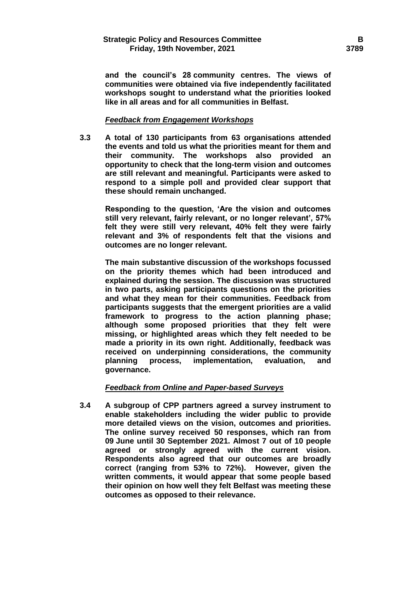**and the council's 28 community centres. The views of communities were obtained via five independently facilitated workshops sought to understand what the priorities looked like in all areas and for all communities in Belfast.** 

# *Feedback from Engagement Workshops*

**3.3 A total of 130 participants from 63 organisations attended the events and told us what the priorities meant for them and their community. The workshops also provided an opportunity to check that the long-term vision and outcomes are still relevant and meaningful. Participants were asked to respond to a simple poll and provided clear support that these should remain unchanged.**

**Responding to the question, 'Are the vision and outcomes still very relevant, fairly relevant, or no longer relevant', 57% felt they were still very relevant, 40% felt they were fairly relevant and 3% of respondents felt that the visions and outcomes are no longer relevant.** 

**The main substantive discussion of the workshops focussed on the priority themes which had been introduced and explained during the session. The discussion was structured in two parts, asking participants questions on the priorities and what they mean for their communities. Feedback from participants suggests that the emergent priorities are a valid framework to progress to the action planning phase; although some proposed priorities that they felt were missing, or highlighted areas which they felt needed to be made a priority in its own right. Additionally, feedback was received on underpinning considerations, the community planning process, implementation, evaluation, and governance.** 

# *Feedback from Online and Paper-based Surveys*

**3.4 A subgroup of CPP partners agreed a survey instrument to enable stakeholders including the wider public to provide more detailed views on the vision, outcomes and priorities. The online survey received 50 responses, which ran from 09 June until 30 September 2021. Almost 7 out of 10 people agreed or strongly agreed with the current vision. Respondents also agreed that our outcomes are broadly correct (ranging from 53% to 72%). However, given the written comments, it would appear that some people based their opinion on how well they felt Belfast was meeting these outcomes as opposed to their relevance.**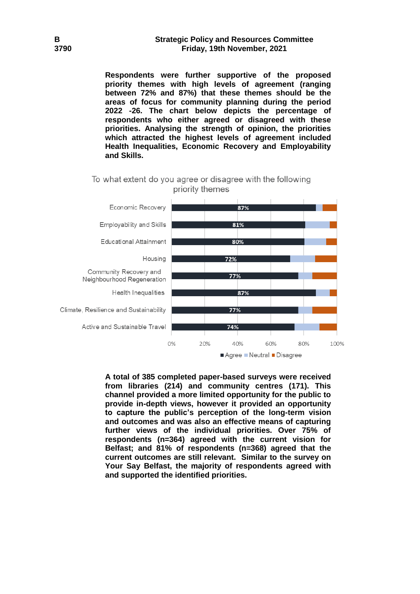### **B Strategic Policy and Resources Committee 3790 Friday, 19th November, 2021**

**Respondents were further supportive of the proposed priority themes with high levels of agreement (ranging between 72% and 87%) that these themes should be the areas of focus for community planning during the period 2022 -26. The chart below depicts the percentage of respondents who either agreed or disagreed with these priorities. Analysing the strength of opinion, the priorities which attracted the highest levels of agreement included Health Inequalities, Economic Recovery and Employability and Skills.**

# To what extent do you agree or disagree with the following priority themes



**A total of 385 completed paper-based surveys were received from libraries (214) and community centres (171). This channel provided a more limited opportunity for the public to provide in-depth views, however it provided an opportunity to capture the public's perception of the long-term vision and outcomes and was also an effective means of capturing further views of the individual priorities. Over 75% of respondents (n=364) agreed with the current vision for Belfast; and 81% of respondents (n=368) agreed that the current outcomes are still relevant. Similar to the survey on Your Say Belfast, the majority of respondents agreed with and supported the identified priorities.**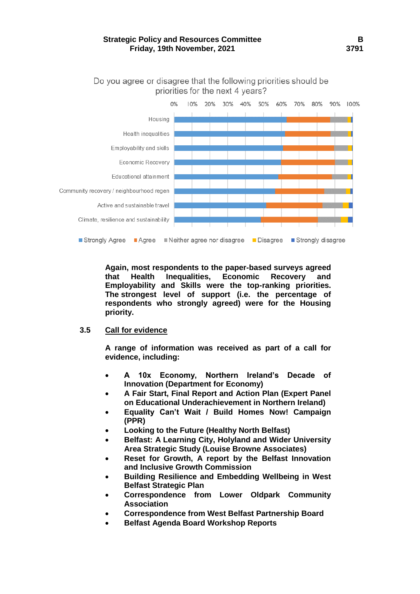# **Strategic Policy and Resources Committee B Friday, 19th November, 2021 3791**



Do you agree or disagree that the following priorities should be priorities for the next 4 years?

**Again, most respondents to the paper-based surveys agreed that Health Inequalities, Economic Recovery and Employability and Skills were the top-ranking priorities. The strongest level of support (i.e. the percentage of respondents who strongly agreed) were for the Housing priority.**

# **3.5 Call for evidence**

**A range of information was received as part of a call for evidence, including:** 

- **A 10x Economy, Northern Ireland's Decade of Innovation (Department for Economy)**
- **A Fair Start, Final Report and Action Plan (Expert Panel on Educational Underachievement in Northern Ireland)**
- **Equality Can't Wait / Build Homes Now! Campaign (PPR)**
- **Looking to the Future (Healthy North Belfast)**
- **Belfast: A Learning City, Holyland and Wider University Area Strategic Study (Louise Browne Associates)**
- **Reset for Growth, A report by the Belfast Innovation and Inclusive Growth Commission**
- **Building Resilience and Embedding Wellbeing in West Belfast Strategic Plan**
- **Correspondence from Lower Oldpark Community Association**
- **Correspondence from West Belfast Partnership Board**
- **Belfast Agenda Board Workshop Reports**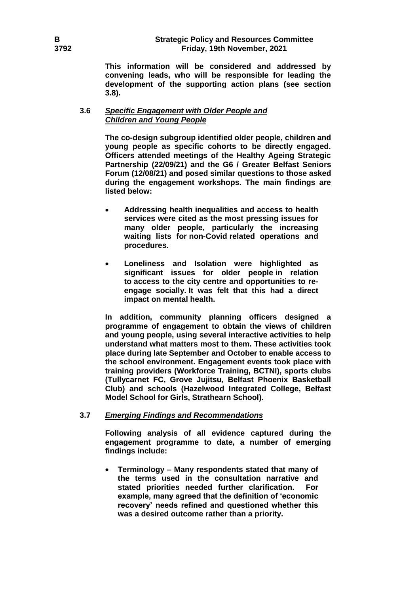**This information will be considered and addressed by convening leads, who will be responsible for leading the development of the supporting action plans (see section 3.8).**

# **3.6** *Specific Engagement with Older People and Children and Young People*

**The co-design subgroup identified older people, children and young people as specific cohorts to be directly engaged. Officers attended meetings of the Healthy Ageing Strategic Partnership (22/09/21) and the G6 / Greater Belfast Seniors Forum (12/08/21) and posed similar questions to those asked during the engagement workshops. The main findings are listed below:**

- **Addressing health inequalities and access to health services were cited as the most pressing issues for many older people, particularly the increasing waiting lists for non-Covid related operations and procedures.**
- **Loneliness and Isolation were highlighted as significant issues for older people in relation to access to the city centre and opportunities to reengage socially. It was felt that this had a direct impact on mental health.**

**In addition, community planning officers designed a programme of engagement to obtain the views of children and young people, using several interactive activities to help understand what matters most to them. These activities took place during late September and October to enable access to the school environment. Engagement events took place with training providers (Workforce Training, BCTNI), sports clubs (Tullycarnet FC, Grove Jujitsu, Belfast Phoenix Basketball Club) and schools (Hazelwood Integrated College, Belfast Model School for Girls, Strathearn School).** 

# **3.7** *Emerging Findings and Recommendations*

**Following analysis of all evidence captured during the engagement programme to date, a number of emerging findings include:** 

 **Terminology – Many respondents stated that many of the terms used in the consultation narrative and stated priorities needed further clarification. For example, many agreed that the definition of 'economic recovery' needs refined and questioned whether this was a desired outcome rather than a priority.**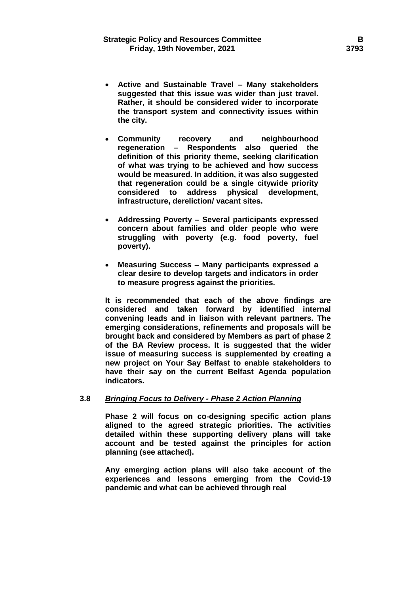- **Active and Sustainable Travel – Many stakeholders suggested that this issue was wider than just travel. Rather, it should be considered wider to incorporate the transport system and connectivity issues within the city.**
- **Community recovery and neighbourhood regeneration – Respondents also queried the definition of this priority theme, seeking clarification of what was trying to be achieved and how success would be measured. In addition, it was also suggested that regeneration could be a single citywide priority considered to address physical development, infrastructure, dereliction/ vacant sites.**
- **Addressing Poverty – Several participants expressed concern about families and older people who were struggling with poverty (e.g. food poverty, fuel poverty).**
- **Measuring Success – Many participants expressed a clear desire to develop targets and indicators in order to measure progress against the priorities.**

**It is recommended that each of the above findings are considered and taken forward by identified internal convening leads and in liaison with relevant partners. The emerging considerations, refinements and proposals will be brought back and considered by Members as part of phase 2 of the BA Review process. It is suggested that the wider issue of measuring success is supplemented by creating a new project on Your Say Belfast to enable stakeholders to have their say on the current Belfast Agenda population indicators.**

### **3.8** *Bringing Focus to Delivery - Phase 2 Action Planning*

**Phase 2 will focus on co-designing specific action plans aligned to the agreed strategic priorities. The activities detailed within these supporting delivery plans will take account and be tested against the principles for action planning (see attached).** 

**Any emerging action plans will also take account of the experiences and lessons emerging from the Covid-19 pandemic and what can be achieved through real**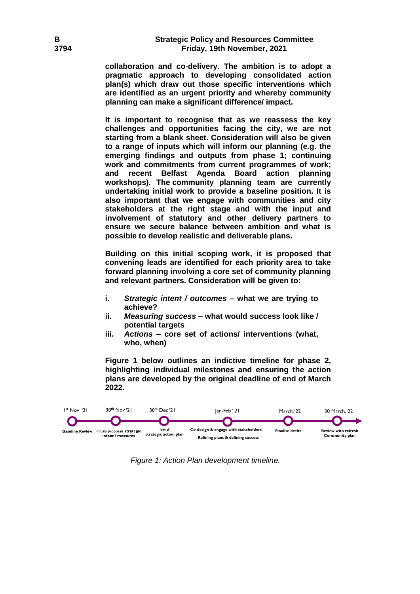# **B Strategic Policy and Resources Committee 3794 Friday, 19th November, 2021**

**collaboration and co-delivery. The ambition is to adopt a pragmatic approach to developing consolidated action plan(s) which draw out those specific interventions which are identified as an urgent priority and whereby community planning can make a significant difference/ impact.**

**It is important to recognise that as we reassess the key challenges and opportunities facing the city, we are not starting from a blank sheet. Consideration will also be given to a range of inputs which will inform our planning (e.g. the emerging findings and outputs from phase 1; continuing work and commitments from current programmes of work; and recent Belfast Agenda Board action planning workshops). The community planning team are currently undertaking initial work to provide a baseline position. It is also important that we engage with communities and city stakeholders at the right stage and with the input and involvement of statutory and other delivery partners to ensure we secure balance between ambition and what is possible to develop realistic and deliverable plans.** 

**Building on this initial scoping work, it is proposed that convening leads are identified for each priority area to take forward planning involving a core set of community planning and relevant partners. Consideration will be given to:**

- **i.** *Strategic intent / outcomes* **– what we are trying to achieve?**
- **ii.** *Measuring success* **– what would success look like / potential targets**
- **iii.** *Actions* **– core set of actions/ interventions (what, who, when)**

**Figure 1 below outlines an indictive timeline for phase 2, highlighting individual milestones and ensuring the action plans are developed by the original deadline of end of March 2022.**



*Figure 1: Action Plan development timeline.*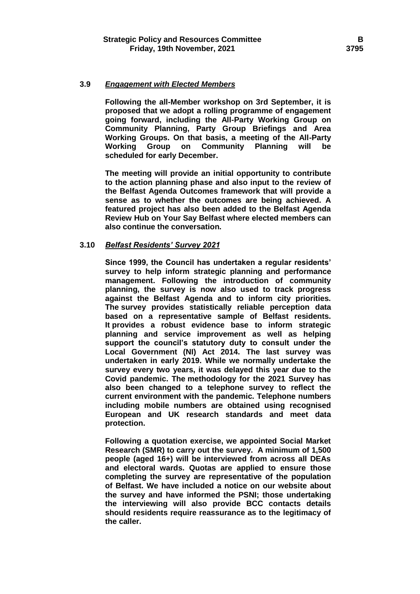### **3.9** *Engagement with Elected Members*

**Following the all-Member workshop on 3rd September, it is proposed that we adopt a rolling programme of engagement going forward, including the All-Party Working Group on Community Planning, Party Group Briefings and Area Working Groups. On that basis, a meeting of the All-Party Working Group on Community Planning will be scheduled for early December.** 

**The meeting will provide an initial opportunity to contribute to the action planning phase and also input to the review of the Belfast Agenda Outcomes framework that will provide a sense as to whether the outcomes are being achieved. A featured project has also been added to the Belfast Agenda Review Hub on Your Say Belfast where elected members can also continue the conversation.**

### **3.10** *Belfast Residents' Survey 2021*

**Since 1999, the Council has undertaken a regular residents' survey to help inform strategic planning and performance management. Following the introduction of community planning, the survey is now also used to track progress against the Belfast Agenda and to inform city priorities. The survey provides statistically reliable perception data based on a representative sample of Belfast residents. It provides a robust evidence base to inform strategic planning and service improvement as well as helping support the council's statutory duty to consult under the Local Government (NI) Act 2014. The last survey was undertaken in early 2019. While we normally undertake the survey every two years, it was delayed this year due to the Covid pandemic. The methodology for the 2021 Survey has also been changed to a telephone survey to reflect the current environment with the pandemic. Telephone numbers including mobile numbers are obtained using recognised European and UK research standards and meet data protection.**

**Following a quotation exercise, we appointed Social Market Research (SMR) to carry out the survey. A minimum of 1,500 people (aged 16+) will be interviewed from across all DEAs and electoral wards. Quotas are applied to ensure those completing the survey are representative of the population of Belfast. We have included a notice on our website about the survey and have informed the PSNI; those undertaking the interviewing will also provide BCC contacts details should residents require reassurance as to the legitimacy of the caller.**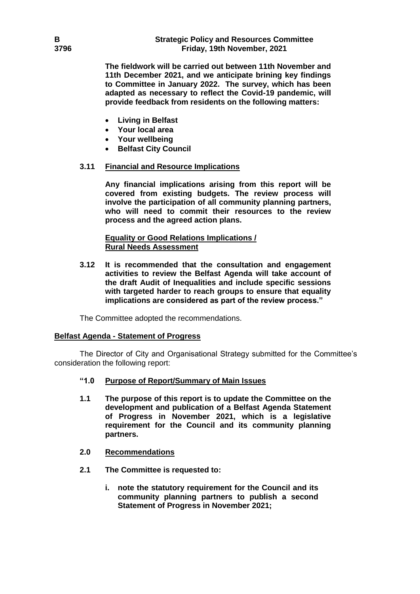**The fieldwork will be carried out between 11th November and 11th December 2021, and we anticipate brining key findings to Committee in January 2022. The survey, which has been adapted as necessary to reflect the Covid-19 pandemic, will provide feedback from residents on the following matters:**

- **Living in Belfast**
- **Your local area**
- **Your wellbeing**
- **•** Belfast City Council

# **3.11 Financial and Resource Implications**

**Any financial implications arising from this report will be covered from existing budgets. The review process will involve the participation of all community planning partners, who will need to commit their resources to the review process and the agreed action plans.**

# **Equality or Good Relations Implications / Rural Needs Assessment**

**3.12 It is recommended that the consultation and engagement activities to review the Belfast Agenda will take account of the draft Audit of Inequalities and include specific sessions with targeted harder to reach groups to ensure that equality implications are considered as part of the review process."** 

The Committee adopted the recommendations.

# **Belfast Agenda - Statement of Progress**

The Director of City and Organisational Strategy submitted for the Committee's consideration the following report:

# **"1.0 Purpose of Report/Summary of Main Issues**

- **1.1 The purpose of this report is to update the Committee on the development and publication of a Belfast Agenda Statement of Progress in November 2021, which is a legislative requirement for the Council and its community planning partners.**
- **2.0 Recommendations**
- **2.1 The Committee is requested to:**
	- **i. note the statutory requirement for the Council and its community planning partners to publish a second Statement of Progress in November 2021;**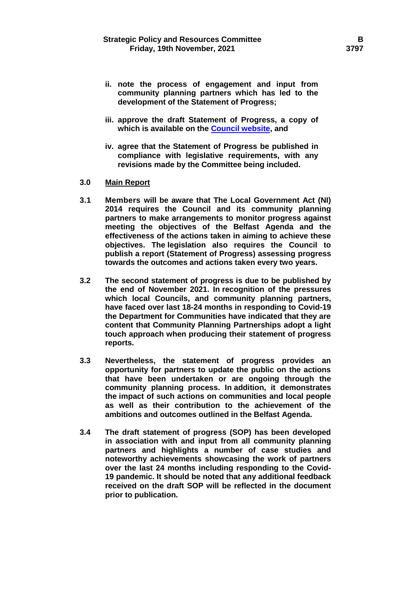- **ii. note the process of engagement and input from community planning partners which has led to the development of the Statement of Progress;**
- **iii. approve the draft Statement of Progress, a copy of which is available on the [Council website,](https://minutes.belfastcity.gov.uk/documents/s95251/Draft%20-%20Statement%20of%20Progress%202019-2021.pdf) and**
- **iv. agree that the Statement of Progress be published in compliance with legislative requirements, with any revisions made by the Committee being included.**
- **3.0 Main Report**
- **3.1 Members will be aware that The Local Government Act (NI) 2014 requires the Council and its community planning partners to make arrangements to monitor progress against meeting the objectives of the Belfast Agenda and the effectiveness of the actions taken in aiming to achieve these objectives. The legislation also requires the Council to publish a report (Statement of Progress) assessing progress towards the outcomes and actions taken every two years.**
- **3.2 The second statement of progress is due to be published by the end of November 2021. In recognition of the pressures which local Councils, and community planning partners, have faced over last 18-24 months in responding to Covid-19 the Department for Communities have indicated that they are content that Community Planning Partnerships adopt a light touch approach when producing their statement of progress reports.**
- **3.3 Nevertheless, the statement of progress provides an opportunity for partners to update the public on the actions that have been undertaken or are ongoing through the community planning process. In addition, it demonstrates the impact of such actions on communities and local people as well as their contribution to the achievement of the ambitions and outcomes outlined in the Belfast Agenda.**
- **3.4 The draft statement of progress (SOP) has been developed in association with and input from all community planning partners and highlights a number of case studies and noteworthy achievements showcasing the work of partners over the last 24 months including responding to the Covid-19 pandemic. It should be noted that any additional feedback received on the draft SOP will be reflected in the document prior to publication.**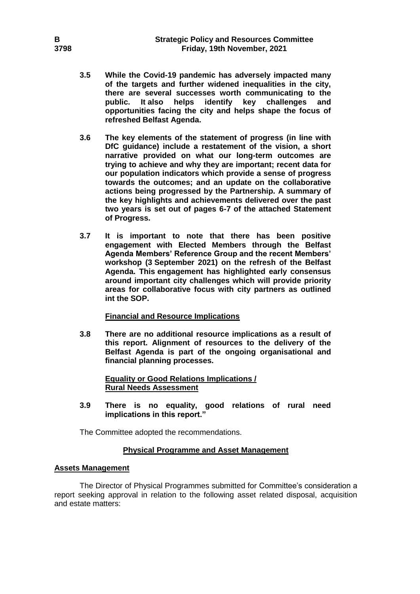- **3.5 While the Covid-19 pandemic has adversely impacted many of the targets and further widened inequalities in the city, there are several successes worth communicating to the public. It also helps identify key challenges and opportunities facing the city and helps shape the focus of refreshed Belfast Agenda.**
- **3.6 The key elements of the statement of progress (in line with DfC guidance) include a restatement of the vision, a short narrative provided on what our long-term outcomes are trying to achieve and why they are important; recent data for our population indicators which provide a sense of progress towards the outcomes; and an update on the collaborative actions being progressed by the Partnership. A summary of the key highlights and achievements delivered over the past two years is set out of pages 6-7 of the attached Statement of Progress.**
- **3.7 It is important to note that there has been positive engagement with Elected Members through the Belfast Agenda Members' Reference Group and the recent Members' workshop (3 September 2021) on the refresh of the Belfast Agenda. This engagement has highlighted early consensus around important city challenges which will provide priority areas for collaborative focus with city partners as outlined int the SOP.**

### **Financial and Resource Implications**

**3.8 There are no additional resource implications as a result of this report. Alignment of resources to the delivery of the Belfast Agenda is part of the ongoing organisational and financial planning processes.**

> **Equality or Good Relations Implications / Rural Needs Assessment**

**3.9 There is no equality, good relations of rural need implications in this report."**

The Committee adopted the recommendations.

### **Physical Programme and Asset Management**

### **Assets Management**

The Director of Physical Programmes submitted for Committee's consideration a report seeking approval in relation to the following asset related disposal, acquisition and estate matters: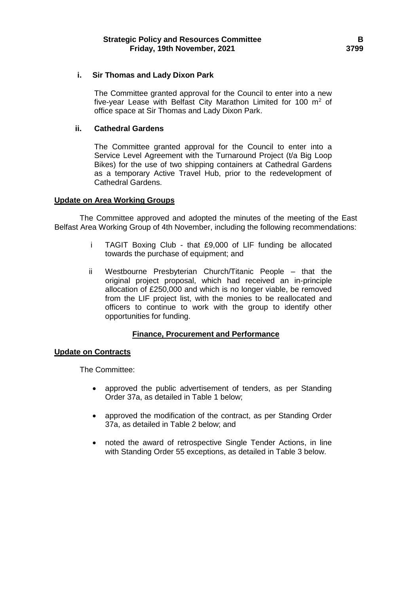# **i. Sir Thomas and Lady Dixon Park**

The Committee granted approval for the Council to enter into a new five-year Lease with Belfast City Marathon Limited for 100  $m^2$  of office space at Sir Thomas and Lady Dixon Park.

### **ii. Cathedral Gardens**

The Committee granted approval for the Council to enter into a Service Level Agreement with the Turnaround Project (t/a Big Loop Bikes) for the use of two shipping containers at Cathedral Gardens as a temporary Active Travel Hub, prior to the redevelopment of Cathedral Gardens.

# **Update on Area Working Groups**

The Committee approved and adopted the minutes of the meeting of the East Belfast Area Working Group of 4th November, including the following recommendations:

- i TAGIT Boxing Club that £9,000 of LIF funding be allocated towards the purchase of equipment; and
- ii Westbourne Presbyterian Church/Titanic People that the original project proposal, which had received an in-principle allocation of £250,000 and which is no longer viable, be removed from the LIF project list, with the monies to be reallocated and officers to continue to work with the group to identify other opportunities for funding.

# **Finance, Procurement and Performance**

### **Update on Contracts**

The Committee:

- approved the public advertisement of tenders, as per Standing Order 37a, as detailed in Table 1 below;
- approved the modification of the contract, as per Standing Order 37a, as detailed in Table 2 below; and
- noted the award of retrospective Single Tender Actions, in line with Standing Order 55 exceptions, as detailed in Table 3 below.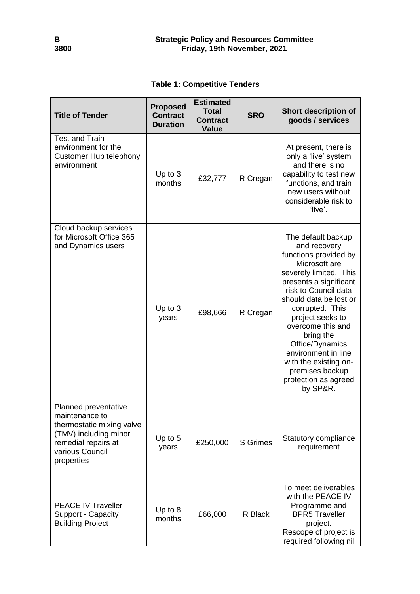|  |  | <b>Table 1: Competitive Tenders</b> |  |
|--|--|-------------------------------------|--|
|--|--|-------------------------------------|--|

| <b>Title of Tender</b>                                                                                                                               | <b>Proposed</b><br><b>Contract</b><br><b>Duration</b> | <b>Estimated</b><br><b>Total</b><br><b>Contract</b><br><b>Value</b> | <b>SRO</b>      | <b>Short description of</b><br>goods / services                                                                                                                                                                                                                                                                                                                                       |
|------------------------------------------------------------------------------------------------------------------------------------------------------|-------------------------------------------------------|---------------------------------------------------------------------|-----------------|---------------------------------------------------------------------------------------------------------------------------------------------------------------------------------------------------------------------------------------------------------------------------------------------------------------------------------------------------------------------------------------|
| <b>Test and Train</b><br>environment for the<br><b>Customer Hub telephony</b><br>environment                                                         | Up to 3<br>months                                     | £32,777                                                             | R Cregan        | At present, there is<br>only a 'live' system<br>and there is no<br>capability to test new<br>functions, and train<br>new users without<br>considerable risk to<br>'live'.                                                                                                                                                                                                             |
| Cloud backup services<br>for Microsoft Office 365<br>and Dynamics users                                                                              | Up to $3$<br>years                                    | £98,666                                                             | R Cregan        | The default backup<br>and recovery<br>functions provided by<br>Microsoft are<br>severely limited. This<br>presents a significant<br>risk to Council data<br>should data be lost or<br>corrupted. This<br>project seeks to<br>overcome this and<br>bring the<br>Office/Dynamics<br>environment in line<br>with the existing on-<br>premises backup<br>protection as agreed<br>by SP&R. |
| Planned preventative<br>maintenance to<br>thermostatic mixing valve<br>(TMV) including minor<br>remedial repairs at<br>various Council<br>properties | Up to $5$<br>years                                    | £250,000                                                            | <b>S</b> Grimes | Statutory compliance<br>requirement                                                                                                                                                                                                                                                                                                                                                   |
| <b>PEACE IV Traveller</b><br>Support - Capacity<br><b>Building Project</b>                                                                           | Up to 8<br>months                                     | £66,000                                                             | R Black         | To meet deliverables<br>with the PEACE IV<br>Programme and<br><b>BPR5 Traveller</b><br>project.<br>Rescope of project is<br>required following nil                                                                                                                                                                                                                                    |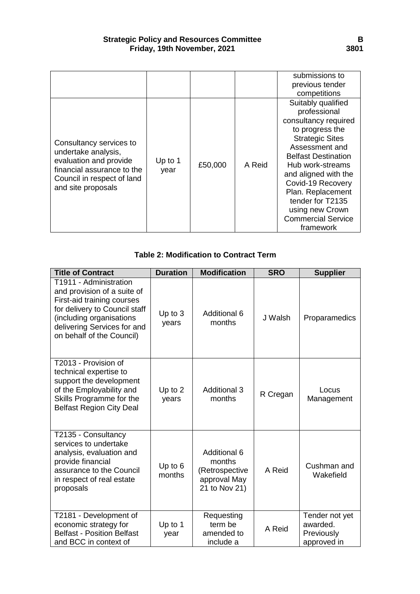# **Strategic Policy and Resources Committee B Friday, 19th November, 2021 3801**

|                                                                                                                                                            |                 |         |        | submissions to                                                                                                                                                                                                                                                                                                                 |
|------------------------------------------------------------------------------------------------------------------------------------------------------------|-----------------|---------|--------|--------------------------------------------------------------------------------------------------------------------------------------------------------------------------------------------------------------------------------------------------------------------------------------------------------------------------------|
|                                                                                                                                                            |                 |         |        | previous tender                                                                                                                                                                                                                                                                                                                |
|                                                                                                                                                            |                 |         |        | competitions                                                                                                                                                                                                                                                                                                                   |
| Consultancy services to<br>undertake analysis,<br>evaluation and provide<br>financial assurance to the<br>Council in respect of land<br>and site proposals | Up to 1<br>year | £50,000 | A Reid | Suitably qualified<br>professional<br>consultancy required<br>to progress the<br><b>Strategic Sites</b><br>Assessment and<br><b>Belfast Destination</b><br>Hub work-streams<br>and aligned with the<br>Covid-19 Recovery<br>Plan. Replacement<br>tender for T2135<br>using new Crown<br><b>Commercial Service</b><br>framework |

# **Table 2: Modification to Contract Term**

| <b>Title of Contract</b>                                                                                                                                                                                     | <b>Duration</b>   | <b>Modification</b>                                                              | <b>SRO</b> | <b>Supplier</b>                                         |  |
|--------------------------------------------------------------------------------------------------------------------------------------------------------------------------------------------------------------|-------------------|----------------------------------------------------------------------------------|------------|---------------------------------------------------------|--|
| T1911 - Administration<br>and provision of a suite of<br>First-aid training courses<br>for delivery to Council staff<br>(including organisations<br>delivering Services for and<br>on behalf of the Council) | Up to 3<br>years  | <b>Additional 6</b><br>months                                                    | J Walsh    | Proparamedics                                           |  |
| T2013 - Provision of<br>technical expertise to<br>support the development<br>of the Employability and<br>Skills Programme for the<br><b>Belfast Region City Deal</b>                                         | Up to 2<br>years  | <b>Additional 3</b><br>months                                                    | R Cregan   | Locus<br>Management                                     |  |
| T2135 - Consultancy<br>services to undertake<br>analysis, evaluation and<br>provide financial<br>assurance to the Council<br>in respect of real estate<br>proposals                                          | Up to 6<br>months | <b>Additional 6</b><br>months<br>(Retrospective<br>approval May<br>21 to Nov 21) | A Reid     | Cushman and<br>Wakefield                                |  |
| T2181 - Development of<br>economic strategy for<br><b>Belfast - Position Belfast</b><br>and BCC in context of                                                                                                | Up to 1<br>year   | Requesting<br>term be<br>amended to<br>include a                                 | A Reid     | Tender not yet<br>awarded.<br>Previously<br>approved in |  |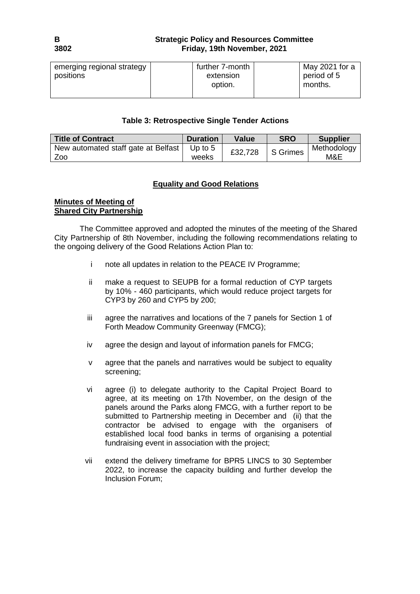# **B Strategic Policy and Resources Committee 3802 Friday, 19th November, 2021**

| emerging regional strategy<br>positions | further 7-month<br>extension<br>option. | May 2021 for a<br>period of 5<br>months. |
|-----------------------------------------|-----------------------------------------|------------------------------------------|
|                                         |                                         |                                          |

# **Table 3: Retrospective Single Tender Actions**

| <b>Title of Contract</b>                   | <b>Duration</b>    | Value   | <b>SRO</b> | <b>Supplier</b>    |
|--------------------------------------------|--------------------|---------|------------|--------------------|
| New automated staff gate at Belfast<br>Zoo | Up to $5$<br>weeks | £32,728 | S Grimes   | Methodology<br>M&E |

# **Equality and Good Relations**

# **Minutes of Meeting of Shared City Partnership**

The Committee approved and adopted the minutes of the meeting of the Shared City Partnership of 8th November, including the following recommendations relating to the ongoing delivery of the Good Relations Action Plan to:

- i note all updates in relation to the PEACE IV Programme;
- ii make a request to SEUPB for a formal reduction of CYP targets by 10% - 460 participants, which would reduce project targets for CYP3 by 260 and CYP5 by 200;
- iii agree the narratives and locations of the 7 panels for Section 1 of Forth Meadow Community Greenway (FMCG);
- iv agree the design and layout of information panels for FMCG;
- v agree that the panels and narratives would be subject to equality screening;
- vi agree (i) to delegate authority to the Capital Project Board to agree, at its meeting on 17th November, on the design of the panels around the Parks along FMCG, with a further report to be submitted to Partnership meeting in December and (ii) that the contractor be advised to engage with the organisers of established local food banks in terms of organising a potential fundraising event in association with the project;
- vii extend the delivery timeframe for BPR5 LINCS to 30 September 2022, to increase the capacity building and further develop the Inclusion Forum;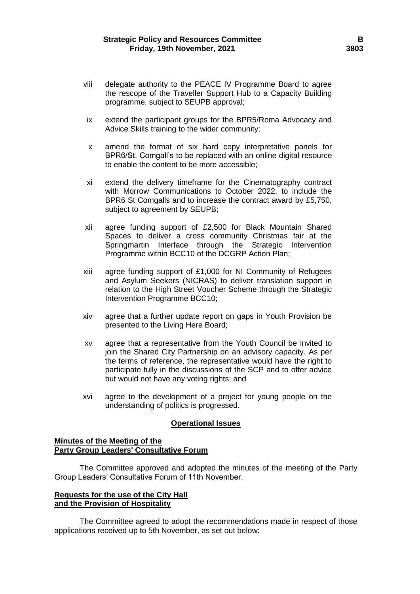- viii delegate authority to the PEACE IV Programme Board to agree the rescope of the Traveller Support Hub to a Capacity Building programme, subject to SEUPB approval;
- ix extend the participant groups for the BPR5/Roma Advocacy and Advice Skills training to the wider community;
- x amend the format of six hard copy interpretative panels for BPR6/St. Comgall's to be replaced with an online digital resource to enable the content to be more accessible;
- xi extend the delivery timeframe for the Cinematography contract with Morrow Communications to October 2022, to include the BPR6 St Comgalls and to increase the contract award by £5,750, subject to agreement by SEUPB;
- xii agree funding support of £2,500 for Black Mountain Shared Spaces to deliver a cross community Christmas fair at the Springmartin Interface through the Strategic Intervention Programme within BCC10 of the DCGRP Action Plan;
- xiii agree funding support of £1,000 for NI Community of Refugees and Asylum Seekers (NICRAS) to deliver translation support in relation to the High Street Voucher Scheme through the Strategic Intervention Programme BCC10;
- xiv agree that a further update report on gaps in Youth Provision be presented to the Living Here Board;
- xv agree that a representative from the Youth Council be invited to join the Shared City Partnership on an advisory capacity. As per the terms of reference, the representative would have the right to participate fully in the discussions of the SCP and to offer advice but would not have any voting rights; and
- xvi agree to the development of a project for young people on the understanding of politics is progressed.

# **Operational Issues**

# **Minutes of the Meeting of the Party Group Leaders' Consultative Forum**

The Committee approved and adopted the minutes of the meeting of the Party Group Leaders' Consultative Forum of 11th November.

# **Requests for the use of the City Hall and the Provision of Hospitality**

The Committee agreed to adopt the recommendations made in respect of those applications received up to 5th November, as set out below: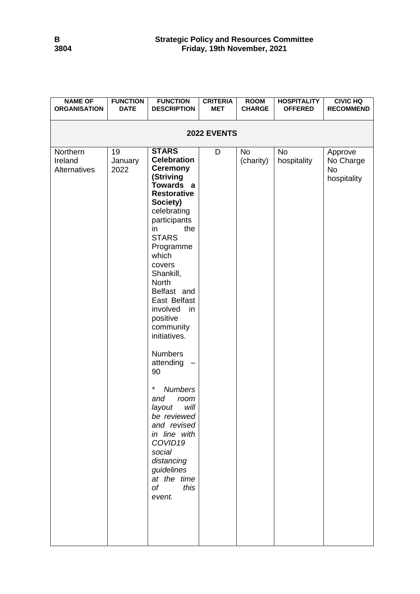| <b>NAME OF</b><br><b>ORGANISATION</b> | <b>FUNCTION</b><br><b>DATE</b> | <b>FUNCTION</b><br><b>DESCRIPTION</b>                                                                                                                                                                                                                                                                                                                                                                                                                                                                                                                                   | <b>CRITERIA</b><br><b>MET</b> | <b>ROOM</b><br><b>CHARGE</b> | <b>HOSPITALITY</b><br><b>OFFERED</b> | <b>CIVIC HQ</b><br><b>RECOMMEND</b>              |  |  |
|---------------------------------------|--------------------------------|-------------------------------------------------------------------------------------------------------------------------------------------------------------------------------------------------------------------------------------------------------------------------------------------------------------------------------------------------------------------------------------------------------------------------------------------------------------------------------------------------------------------------------------------------------------------------|-------------------------------|------------------------------|--------------------------------------|--------------------------------------------------|--|--|
| 2022 EVENTS                           |                                |                                                                                                                                                                                                                                                                                                                                                                                                                                                                                                                                                                         |                               |                              |                                      |                                                  |  |  |
| Northern<br>Ireland<br>Alternatives   | 19<br>January<br>2022          | <b>STARS</b><br><b>Celebration</b><br><b>Ceremony</b><br>(Striving<br>Towards a<br><b>Restorative</b><br>Society)<br>celebrating<br>participants<br>the<br>in.<br><b>STARS</b><br>Programme<br>which<br>covers<br>Shankill,<br>North<br>Belfast and<br>East Belfast<br>involved<br>in<br>positive<br>community<br>initiatives.<br><b>Numbers</b><br>attending<br>90<br>$\star$<br><b>Numbers</b><br>and<br>room<br>will<br>layout<br>be reviewed<br>and revised<br>in line with<br>COVID19<br>social<br>distancing<br>guidelines<br>at the time<br>of<br>this<br>event. | D                             | No<br>(charity)              | No<br>hospitality                    | Approve<br>No Charge<br><b>No</b><br>hospitality |  |  |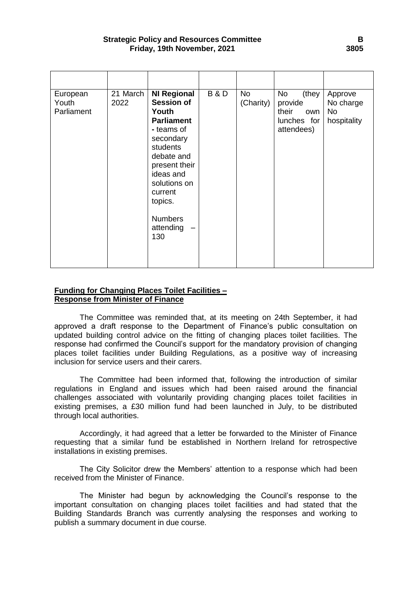| European<br>Youth<br>Parliament | 21 March<br>2022 | <b>NI Regional</b><br><b>Session of</b><br>Youth<br><b>Parliament</b><br>- teams of<br>secondary<br>students<br>debate and<br>present their<br>ideas and<br>solutions on<br>current<br>topics.<br><b>Numbers</b><br>attending<br>130 | <b>B&amp;D</b> | <b>No</b><br>(Charity) | No<br>(they<br>provide<br>their<br>own<br>lunches for<br>attendees) | Approve<br>No charge<br><b>No</b><br>hospitality |
|---------------------------------|------------------|--------------------------------------------------------------------------------------------------------------------------------------------------------------------------------------------------------------------------------------|----------------|------------------------|---------------------------------------------------------------------|--------------------------------------------------|

# **Funding for Changing Places Toilet Facilities – Response from Minister of Finance**

The Committee was reminded that, at its meeting on 24th September, it had approved a draft response to the Department of Finance's public consultation on updated building control advice on the fitting of changing places toilet facilities. The response had confirmed the Council's support for the mandatory provision of changing places toilet facilities under Building Regulations, as a positive way of increasing inclusion for service users and their carers.

The Committee had been informed that, following the introduction of similar regulations in England and issues which had been raised around the financial challenges associated with voluntarily providing changing places toilet facilities in existing premises, a £30 million fund had been launched in July, to be distributed through local authorities.

Accordingly, it had agreed that a letter be forwarded to the Minister of Finance requesting that a similar fund be established in Northern Ireland for retrospective installations in existing premises.

The City Solicitor drew the Members' attention to a response which had been received from the Minister of Finance.

The Minister had begun by acknowledging the Council's response to the important consultation on changing places toilet facilities and had stated that the Building Standards Branch was currently analysing the responses and working to publish a summary document in due course.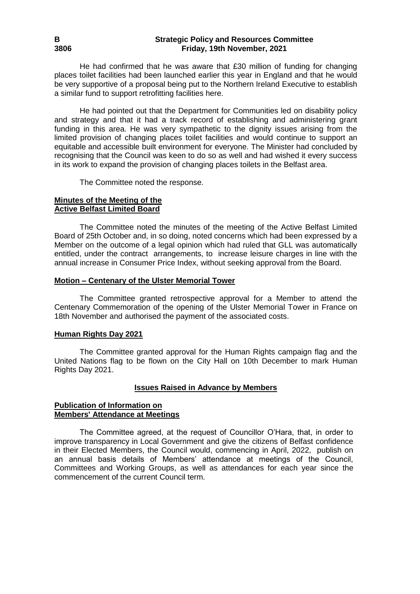He had confirmed that he was aware that £30 million of funding for changing places toilet facilities had been launched earlier this year in England and that he would be very supportive of a proposal being put to the Northern Ireland Executive to establish a similar fund to support retrofitting facilities here.

He had pointed out that the Department for Communities led on disability policy and strategy and that it had a track record of establishing and administering grant funding in this area. He was very sympathetic to the dignity issues arising from the limited provision of changing places toilet facilities and would continue to support an equitable and accessible built environment for everyone. The Minister had concluded by recognising that the Council was keen to do so as well and had wished it every success in its work to expand the provision of changing places toilets in the Belfast area.

The Committee noted the response.

### **Minutes of the Meeting of the Active Belfast Limited Board**

The Committee noted the minutes of the meeting of the Active Belfast Limited Board of 25th October and, in so doing, noted concerns which had been expressed by a Member on the outcome of a legal opinion which had ruled that GLL was automatically entitled, under the contract arrangements, to increase leisure charges in line with the annual increase in Consumer Price Index, without seeking approval from the Board.

### **Motion – Centenary of the Ulster Memorial Tower**

The Committee granted retrospective approval for a Member to attend the Centenary Commemoration of the opening of the Ulster Memorial Tower in France on 18th November and authorised the payment of the associated costs.

### **Human Rights Day 2021**

The Committee granted approval for the Human Rights campaign flag and the United Nations flag to be flown on the City Hall on 10th December to mark Human Rights Day 2021.

# **Issues Raised in Advance by Members**

#### **Publication of Information on Members' Attendance at Meetings**

The Committee agreed, at the request of Councillor O'Hara, that, in order to improve transparency in Local Government and give the citizens of Belfast confidence in their Elected Members, the Council would, commencing in April, 2022, publish on an annual basis details of Members' attendance at meetings of the Council, Committees and Working Groups, as well as attendances for each year since the commencement of the current Council term.